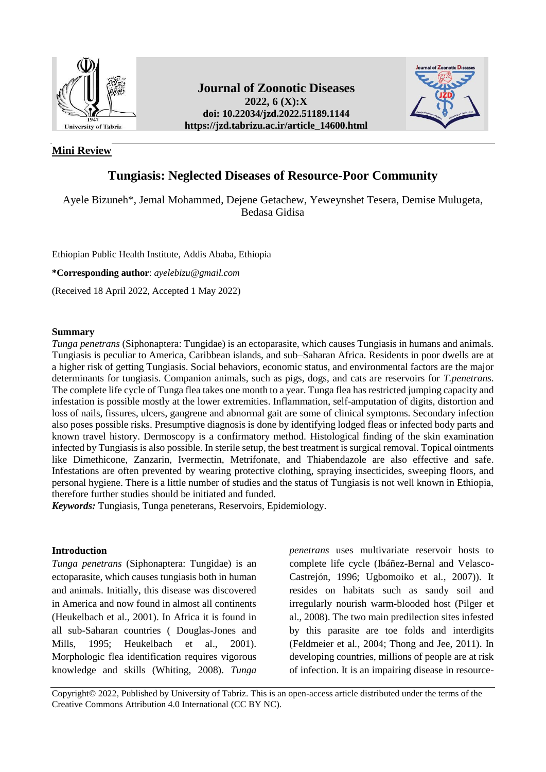

# **Mini Review**

# **Journal of Zoonotic Diseases 2022, 6 (X):X doi: 10.22034/jzd.2022.51189.1144 https://jzd.tabrizu.ac.ir/article\_14600.html**



# **Tungiasis: Neglected Diseases of Resource-Poor Community**

Ayele Bizuneh\*, Jemal Mohammed, Dejene Getachew, Yeweynshet Tesera, Demise Mulugeta, Bedasa Gidisa

Ethiopian Public Health Institute, Addis Ababa, Ethiopia

**\*Corresponding author**: *[ayelebizu@gmail.com](mailto:ayelebizu@gmail.com)*

(Received 18 April 2022, Accepted 1 May 2022)

# **Summary**

*Tunga penetrans* (Siphonaptera: Tungidae) is an ectoparasite, which causes Tungiasis in humans and animals. Tungiasis is peculiar to America, Caribbean islands, and sub–Saharan Africa. Residents in poor dwells are at a higher risk of getting Tungiasis. Social behaviors, economic status, and environmental factors are the major determinants for tungiasis. Companion animals, such as pigs, dogs, and cats are reservoirs for *T.penetrans*. The complete life cycle of Tunga flea takes one month to a year. Tunga flea has restricted jumping capacity and infestation is possible mostly at the lower extremities. Inflammation, self-amputation of digits, distortion and loss of nails, fissures, ulcers, gangrene and abnormal gait are some of clinical symptoms. Secondary infection also poses possible risks. Presumptive diagnosis is done by identifying lodged fleas or infected body parts and known travel history. Dermoscopy is a confirmatory method. Histological finding of the skin examination infected by Tungiasis is also possible. In sterile setup, the best treatment is surgical removal. Topical ointments like Dimethicone, Zanzarin, Ivermectin, Metrifonate, and Thiabendazole are also effective and safe. Infestations are often prevented by wearing protective clothing, spraying insecticides, sweeping floors, and personal hygiene. There is a little number of studies and the status of Tungiasis is not well known in Ethiopia, therefore further studies should be initiated and funded.

*Keywords:* Tungiasis, Tunga peneterans, Reservoirs, Epidemiology.

# **Introduction**

*Tunga penetrans* (Siphonaptera: Tungidae) is an ectoparasite, which causes tungiasis both in human and animals. Initially, this disease was discovered in America and now found in almost all continents (Heukelbach et al., 2001). In Africa it is found in all sub-Saharan countries ( Douglas-Jones and Mills, 1995; Heukelbach et al., 2001). Morphologic flea identification requires vigorous knowledge and skills (Whiting, 2008). *Tunga* 

*penetrans* uses multivariate reservoir hosts to complete life cycle (Ibáñez-Bernal and Velasco-Castrejón, 1996; Ugbomoiko et al*.*, 2007)). It resides on habitats such as sandy soil and irregularly nourish warm-blooded host (Pilger et al., 2008). The two main predilection sites infested by this parasite are toe folds and interdigits (Feldmeier et al*.*, 2004; Thong and Jee, 2011). In developing countries, millions of people are at risk of infection. It is an impairing disease in resource-

Copyright© 2022, Published by University of Tabriz. This is an open-access article distributed under the terms of the Creative Commons Attribution 4.0 International (CC BY NC).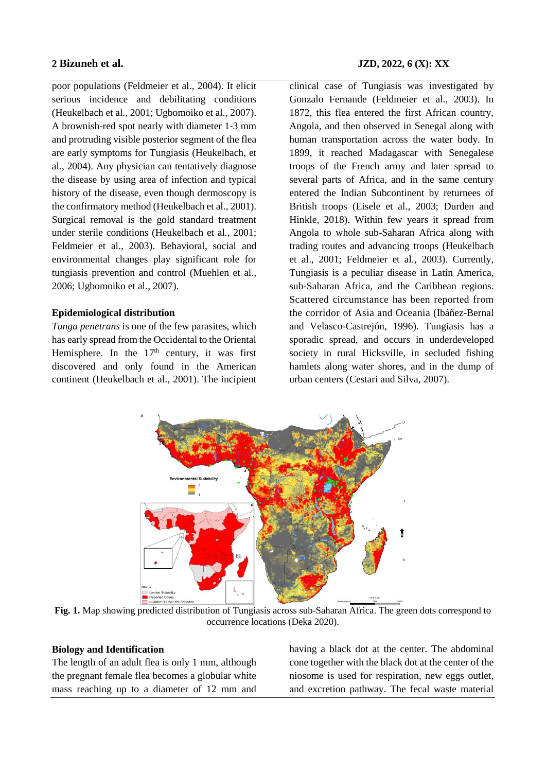poor populations (Feldmeier et al., 2004). It elicit serious incidence and debilitating conditions (Heukelbach et al*.*, 2001; Ugbomoiko et al*.*, 2007). A brownish-red spot nearly with diameter 1-3 mm and protruding visible posterior segment of the flea are early symptoms for Tungiasis (Heukelbach, et al., 2004). Any physician can tentatively diagnose the disease by using area of infection and typical history of the disease, even though dermoscopy is the confirmatory method (Heukelbach et al., 2001). Surgical removal is the gold standard treatment under sterile conditions (Heukelbach et al*.*, 2001; Feldmeier et al., 2003). Behavioral, social and environmental changes play significant role for tungiasis prevention and control (Muehlen et al., 2006; Ugbomoiko et al., 2007).

# **Epidemiological distribution**

*Tunga penetrans* is one of the few parasites, which has early spread from the Occidental to the Oriental Hemisphere. In the  $17<sup>th</sup>$  century, it was first discovered and only found in the American continent (Heukelbach et al., 2001). The incipient

clinical case of Tungiasis was investigated by Gonzalo Fernande (Feldmeier et al., 2003). In 1872, this flea entered the first African country, Angola, and then observed in Senegal along with human transportation across the water body. In 1899, it reached Madagascar with Senegalese troops of the French army and later spread to several parts of Africa, and in the same century entered the Indian Subcontinent by returnees of British troops (Eisele et al., 2003; Durden and Hinkle, 2018). Within few years it spread from Angola to whole sub-Saharan Africa along with trading routes and advancing troops (Heukelbach et al., 2001; Feldmeier et al*.,* 2003). Currently, Tungiasis is a peculiar disease in Latin America, sub-Saharan Africa, and the Caribbean regions. Scattered circumstance has been reported from the corridor of Asia and Oceania (Ibáñez-Bernal and Velasco-Castrejón, 1996). Tungiasis has a sporadic spread, and occurs in underdeveloped society in rural Hicksville, in secluded fishing hamlets along water shores, and in the dump of urban centers (Cestari and Silva, 2007).



**Fig. 1.** Map showing predicted distribution of Tungiasis across sub-Saharan Africa. The green dots correspond to occurrence locations (Deka 2020).

# **Biology and Identification**

The length of an adult flea is only 1 mm, although the pregnant female flea becomes a globular white mass reaching up to a diameter of 12 mm and having a black dot at the center. The abdominal cone together with the black dot at the center of the niosome is used for respiration, new eggs outlet, and excretion pathway. The fecal waste material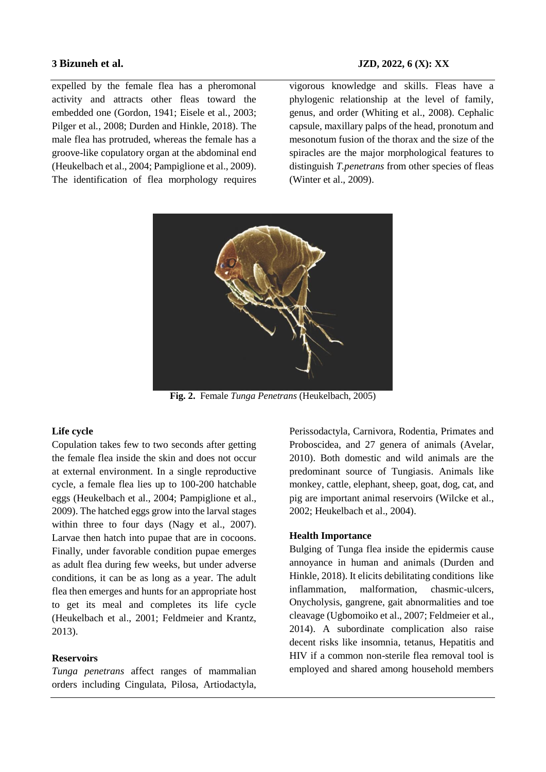expelled by the female flea has a pheromonal activity and attracts other fleas toward the embedded one (Gordon, 1941; Eisele et al*.*, 2003; Pilger et al*.*, 2008; Durden and Hinkle, 2018). The male flea has protruded, whereas the female has a groove-like copulatory organ at the abdominal end (Heukelbach et al., 2004; Pampiglione et al., 2009). The identification of flea morphology requires

vigorous knowledge and skills. Fleas have a phylogenic relationship at the level of family, genus, and order (Whiting et al., 2008). Cephalic capsule, maxillary palps of the head, pronotum and mesonotum fusion of the thorax and the size of the spiracles are the major morphological features to distinguish *T.penetrans* from other species of fleas (Winter et al., 2009).



**Fig. 2.** Female *Tunga Penetrans* (Heukelbach, 2005)

## **Life cycle**

Copulation takes few to two seconds after getting the female flea inside the skin and does not occur at external environment. In a single reproductive cycle, a female flea lies up to 100-200 hatchable eggs (Heukelbach et al., 2004; Pampiglione et al., 2009). The hatched eggs grow into the larval stages within three to four days (Nagy et al., 2007). Larvae then hatch into pupae that are in cocoons. Finally, under favorable condition pupae emerges as adult flea during few weeks, but under adverse conditions, it can be as long as a year. The adult flea then emerges and hunts for an appropriate host to get its meal and completes its life cycle (Heukelbach et al., 2001; Feldmeier and Krantz, 2013).

## **Reservoirs**

*Tunga penetrans* affect ranges of mammalian orders including Cingulata, Pilosa, Artiodactyla, Perissodactyla, Carnivora, Rodentia, Primates and Proboscidea, and 27 genera of animals (Avelar, 2010). Both domestic and wild animals are the predominant source of Tungiasis. Animals like monkey, cattle, elephant, sheep, goat, dog, cat, and pig are important animal reservoirs (Wilcke et al., 2002; Heukelbach et al., 2004).

# **Health Importance**

Bulging of Tunga flea inside the epidermis cause annoyance in human and animals (Durden and Hinkle, 2018). It elicits debilitating conditions like inflammation, malformation, chasmic-ulcers, Onycholysis, gangrene, gait abnormalities and toe cleavage (Ugbomoiko et al., 2007; Feldmeier et al., 2014). A subordinate complication also raise decent risks like insomnia, tetanus, Hepatitis and HIV if a common non-sterile flea removal tool is employed and shared among household members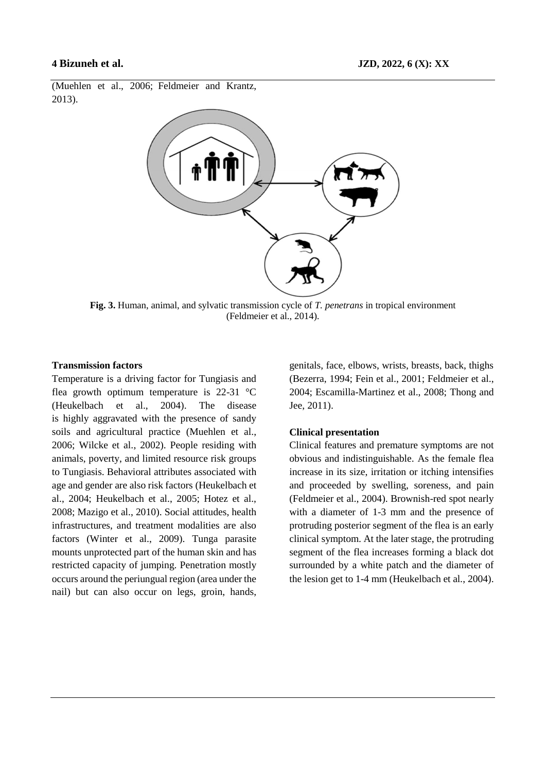(Muehlen et al., 2006; Feldmeier and Krantz, 2013).



**Fig. 3.** Human, animal, and sylvatic transmission cycle of *T. penetrans* in tropical environment (Feldmeier et al., 2014).

### **Transmission factors**

Temperature is a driving factor for Tungiasis and flea growth optimum temperature is  $22-31$  °C (Heukelbach et al., 2004). The disease is highly aggravated with the presence of sandy soils and agricultural practice (Muehlen et al., 2006; Wilcke et al., 2002). People residing with animals, poverty, and limited resource risk groups to Tungiasis. Behavioral attributes associated with age and gender are also risk factors (Heukelbach et al., 2004; Heukelbach et al., 2005; Hotez et al., 2008; Mazigo et al., 2010). Social attitudes, health infrastructures, and treatment modalities are also factors (Winter et al., 2009). Tunga parasite mounts unprotected part of the human skin and has restricted capacity of jumping. Penetration mostly occurs around the periungual region (area under the nail) but can also occur on legs, groin, hands,

genitals, face, elbows, wrists, breasts, back, thighs (Bezerra, 1994; Fein et al., 2001; Feldmeier et al., 2004; Escamilla-Martinez et al., 2008; Thong and Jee, 2011).

#### **Clinical presentation**

Clinical features and premature symptoms are not obvious and indistinguishable. As the female flea increase in its size, irritation or itching intensifies and proceeded by swelling, soreness, and pain (Feldmeier et al., 2004). Brownish-red spot nearly with a diameter of 1-3 mm and the presence of protruding posterior segment of the flea is an early clinical symptom. At the later stage, the protruding segment of the flea increases forming a black dot surrounded by a white patch and the diameter of the lesion get to 1-4 mm (Heukelbach et al*.*, 2004).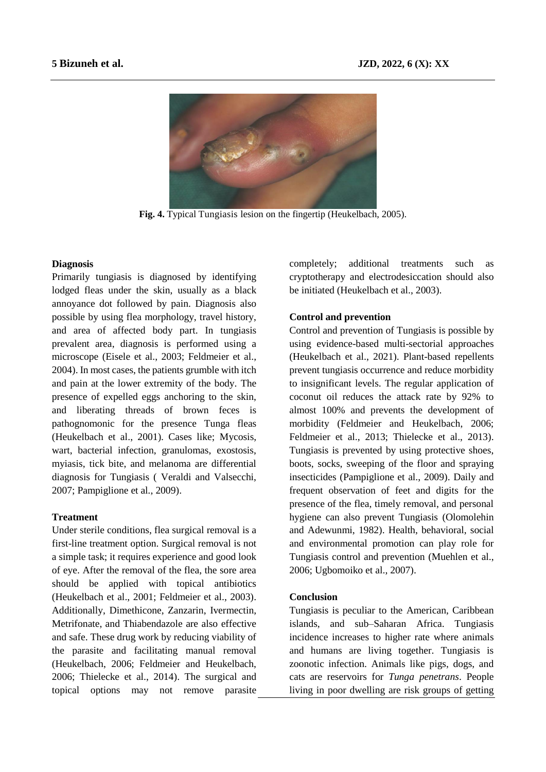

**Fig. 4.** Typical Tungiasis lesion on the fingertip (Heukelbach, 2005).

### **Diagnosis**

Primarily tungiasis is diagnosed by identifying lodged fleas under the skin, usually as a black annoyance dot followed by pain. Diagnosis also possible by using flea morphology, travel history, and area of affected body part. In tungiasis prevalent area, diagnosis is performed using a microscope (Eisele et al., 2003; Feldmeier et al., 2004). In most cases, the patients grumble with itch and pain at the lower extremity of the body. The presence of expelled eggs anchoring to the skin, and liberating threads of brown feces is pathognomonic for the presence Tunga fleas (Heukelbach et al., 2001). Cases like; Mycosis, wart, bacterial infection, granulomas, exostosis, myiasis, tick bite, and melanoma are differential diagnosis for Tungiasis ( Veraldi and Valsecchi, 2007; Pampiglione et al*.*, 2009).

#### **Treatment**

Under sterile conditions, flea surgical removal is a first-line treatment option. Surgical removal is not a simple task; it requires experience and good look of eye. After the removal of the flea, the sore area should be applied with topical antibiotics (Heukelbach et al., 2001; Feldmeier et al., 2003). Additionally, Dimethicone, Zanzarin, Ivermectin, Metrifonate, and Thiabendazole are also effective and safe. These drug work by reducing viability of the parasite and facilitating manual removal (Heukelbach, 2006; Feldmeier and Heukelbach, 2006; Thielecke et al., 2014). The surgical and topical options may not remove parasite completely; additional treatments such as cryptotherapy and electrodesiccation should also be initiated (Heukelbach et al., 2003).

# **Control and prevention**

Control and prevention of Tungiasis is possible by using evidence-based multi-sectorial approaches (Heukelbach et al., 2021). Plant-based repellents prevent tungiasis occurrence and reduce morbidity to insignificant levels. The regular application of coconut oil reduces the attack rate by 92% to almost 100% and prevents the development of morbidity (Feldmeier and Heukelbach, 2006; Feldmeier et al., 2013; Thielecke et al., 2013). Tungiasis is prevented by using protective shoes, boots, socks, sweeping of the floor and spraying insecticides (Pampiglione et al., 2009). Daily and frequent observation of feet and digits for the presence of the flea, timely removal, and personal hygiene can also prevent Tungiasis (Olomolehin and Adewunmi, 1982). Health, behavioral, social and environmental promotion can play role for Tungiasis control and prevention (Muehlen et al., 2006; Ugbomoiko et al., 2007).

# **Conclusion**

Tungiasis is peculiar to the American, Caribbean islands, and sub–Saharan Africa. Tungiasis incidence increases to higher rate where animals and humans are living together. Tungiasis is zoonotic infection. Animals like pigs, dogs, and cats are reservoirs for *Tunga penetrans*. People living in poor dwelling are risk groups of getting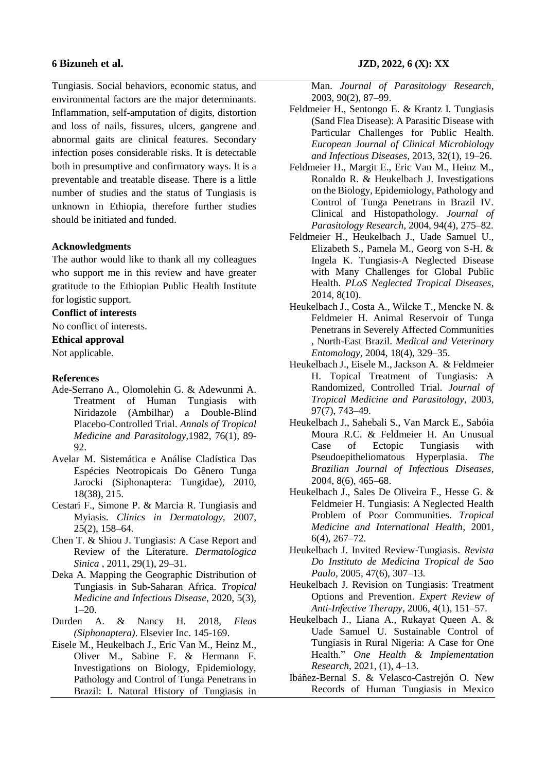Tungiasis. Social behaviors, economic status, and environmental factors are the major determinants. Inflammation, self-amputation of digits, distortion and loss of nails, fissures, ulcers, gangrene and abnormal gaits are clinical features. Secondary infection poses considerable risks. It is detectable both in presumptive and confirmatory ways. It is a preventable and treatable disease. There is a little number of studies and the status of Tungiasis is unknown in Ethiopia, therefore further studies should be initiated and funded.

## **Acknowledgments**

The author would like to thank all my colleagues who support me in this review and have greater gratitude to the Ethiopian Public Health Institute for logistic support.

### **Conflict of interests**

No conflict of interests.

#### **Ethical approval**

Not applicable.

#### **References**

- Ade-Serrano A., Olomolehin G. & Adewunmi A. Treatment of Human Tungiasis with Niridazole (Ambilhar) a Double-Blind Placebo-Controlled Trial. *Annals of Tropical Medicine and Parasitology,*1982, 76(1), 89- 92.
- Avelar M. Sistemática e Análise Cladística Das Espécies Neotropicais Do Gênero Tunga Jarocki (Siphonaptera: Tungidae), 2010, 18(38), 215.
- Cestari F., Simone P. & Marcia R. Tungiasis and Myiasis. *Clinics in Dermatology,* 2007, 25(2), 158–64.
- Chen T. & Shiou J. Tungiasis: A Case Report and Review of the Literature. *Dermatologica Sinica*, 2011, 29(1), 29–31.
- Deka A. Mapping the Geographic Distribution of Tungiasis in Sub-Saharan Africa. *Tropical Medicine and Infectious Disease*, 2020, 5(3), 1–20.
- Durden A. & Nancy H. 2018, *Fleas (Siphonaptera)*. Elsevier Inc. 145-169.
- Eisele M., Heukelbach J., Eric Van M., Heinz M., Oliver M., Sabine F. & Hermann F. Investigations on Biology, Epidemiology, Pathology and Control of Tunga Penetrans in Brazil: I. Natural History of Tungiasis in

Man. *Journal of Parasitology Research,* 2003, 90(2), 87–99.

- Feldmeier H., Sentongo E. & Krantz I. Tungiasis (Sand Flea Disease): A Parasitic Disease with Particular Challenges for Public Health. *European Journal of Clinical Microbiology and Infectious Diseases,* 2013, 32(1), 19–26.
- Feldmeier H., Margit E., Eric Van M., Heinz M., Ronaldo R. & Heukelbach J. Investigations on the Biology, Epidemiology, Pathology and Control of Tunga Penetrans in Brazil IV. Clinical and Histopathology. *Journal of Parasitology Research,* 2004, 94(4), 275–82.
- Feldmeier H., Heukelbach J., Uade Samuel U., Elizabeth S., Pamela M., Georg von S-H. & Ingela K. Tungiasis-A Neglected Disease with Many Challenges for Global Public Health. *PLoS Neglected Tropical Diseases,* 2014, 8(10).
- Heukelbach J., Costa A., Wilcke T., Mencke N. & Feldmeier H. Animal Reservoir of Tunga Penetrans in Severely Affected Communities , North-East Brazil. *Medical and Veterinary Entomology,* 2004, 18(4), 329–35.
- Heukelbach J., Eisele M., Jackson A. & Feldmeier H. Topical Treatment of Tungiasis: A Randomized, Controlled Trial. *Journal of Tropical Medicine and Parasitology,* 2003, 97(7), 743–49.
- Heukelbach J., Sahebali S., Van Marck E., Sabóia Moura R.C. & Feldmeier H. An Unusual Case of Ectopic Tungiasis with Pseudoepitheliomatous Hyperplasia. *The Brazilian Journal of Infectious Diseases,*  2004, 8(6), 465–68.
- Heukelbach J., Sales De Oliveira F., Hesse G. & Feldmeier H. Tungiasis: A Neglected Health Problem of Poor Communities. *Tropical Medicine and International Health,* 2001, 6(4), 267–72.
- Heukelbach J. Invited Review-Tungiasis. *Revista Do Instituto de Medicina Tropical de Sao Paulo,* 2005, 47(6), 307–13.
- Heukelbach J. Revision on Tungiasis: Treatment Options and Prevention. *Expert Review of Anti-Infective Therapy,* 2006, 4(1), 151–57.
- Heukelbach J., Liana A., Rukayat Queen A. & Uade Samuel U. Sustainable Control of Tungiasis in Rural Nigeria: A Case for One Health." *One Health & Implementation Research*, 2021, (1), 4–13.
- Ibáñez-Bernal S. & Velasco-Castrejón O. New Records of Human Tungiasis in Mexico